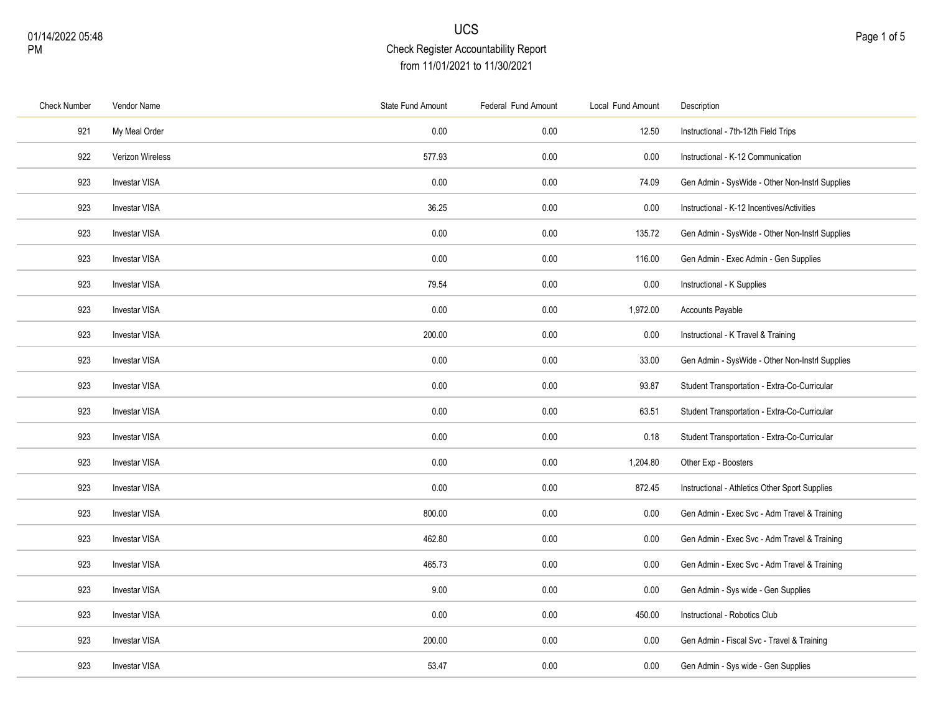| <b>Check Number</b> | Vendor Name          | <b>State Fund Amount</b> | Federal Fund Amount | Local Fund Amount | Description                                     |
|---------------------|----------------------|--------------------------|---------------------|-------------------|-------------------------------------------------|
| 921                 | My Meal Order        | 0.00                     | 0.00                | 12.50             | Instructional - 7th-12th Field Trips            |
| 922                 | Verizon Wireless     | 577.93                   | 0.00                | 0.00              | Instructional - K-12 Communication              |
| 923                 | <b>Investar VISA</b> | 0.00                     | $0.00\,$            | 74.09             | Gen Admin - SysWide - Other Non-Instrl Supplies |
| 923                 | Investar VISA        | 36.25                    | 0.00                | 0.00              | Instructional - K-12 Incentives/Activities      |
| 923                 | Investar VISA        | 0.00                     | 0.00                | 135.72            | Gen Admin - SysWide - Other Non-Instrl Supplies |
| 923                 | Investar VISA        | 0.00                     | 0.00                | 116.00            | Gen Admin - Exec Admin - Gen Supplies           |
| 923                 | Investar VISA        | 79.54                    | 0.00                | 0.00              | Instructional - K Supplies                      |
| 923                 | Investar VISA        | 0.00                     | 0.00                | 1,972.00          | Accounts Payable                                |
| 923                 | Investar VISA        | 200.00                   | 0.00                | 0.00              | Instructional - K Travel & Training             |
| 923                 | Investar VISA        | 0.00                     | 0.00                | 33.00             | Gen Admin - SysWide - Other Non-Instrl Supplies |
| 923                 | Investar VISA        | 0.00                     | 0.00                | 93.87             | Student Transportation - Extra-Co-Curricular    |
| 923                 | Investar VISA        | 0.00                     | 0.00                | 63.51             | Student Transportation - Extra-Co-Curricular    |
| 923                 | Investar VISA        | 0.00                     | $0.00\,$            | 0.18              | Student Transportation - Extra-Co-Curricular    |
| 923                 | Investar VISA        | 0.00                     | 0.00                | 1,204.80          | Other Exp - Boosters                            |
| 923                 | Investar VISA        | 0.00                     | 0.00                | 872.45            | Instructional - Athletics Other Sport Supplies  |
| 923                 | <b>Investar VISA</b> | 800.00                   | 0.00                | 0.00              | Gen Admin - Exec Svc - Adm Travel & Training    |
| 923                 | Investar VISA        | 462.80                   | 0.00                | 0.00              | Gen Admin - Exec Svc - Adm Travel & Training    |
| 923                 | Investar VISA        | 465.73                   | 0.00                | 0.00              | Gen Admin - Exec Svc - Adm Travel & Training    |
| 923                 | Investar VISA        | 9.00                     | 0.00                | 0.00              | Gen Admin - Sys wide - Gen Supplies             |
| 923                 | Investar VISA        | 0.00                     | $0.00\,$            | 450.00            | Instructional - Robotics Club                   |
| 923                 | Investar VISA        | 200.00                   | 0.00                | 0.00              | Gen Admin - Fiscal Svc - Travel & Training      |
| 923                 | Investar VISA        | 53.47                    | 0.00                | 0.00              | Gen Admin - Sys wide - Gen Supplies             |
|                     |                      |                          |                     |                   |                                                 |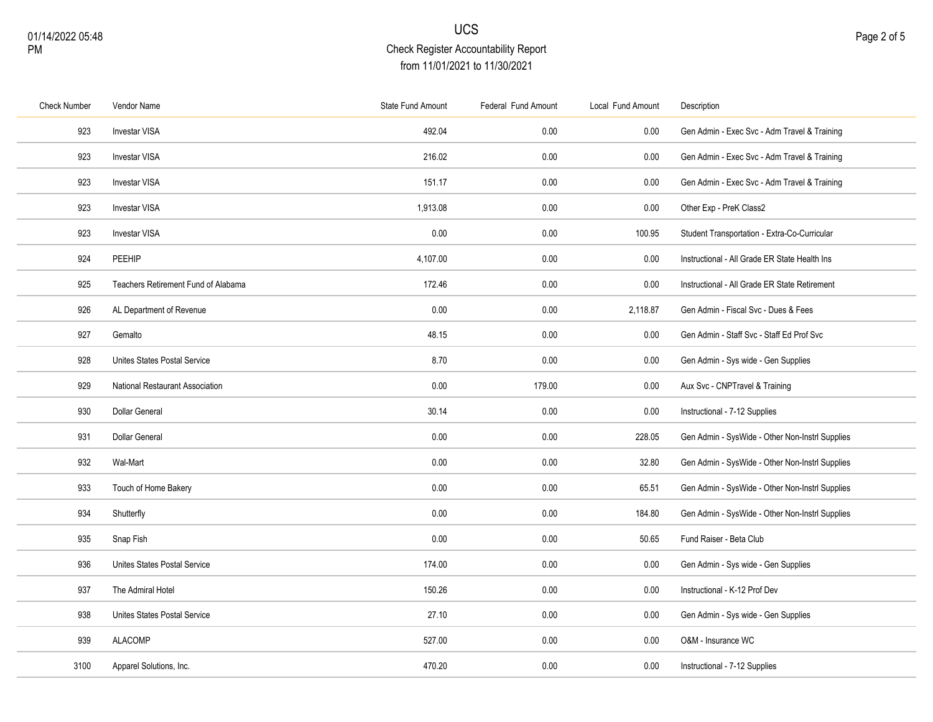| <b>Check Number</b> | Vendor Name                         | State Fund Amount | Federal Fund Amount | Local Fund Amount | Description                                     |
|---------------------|-------------------------------------|-------------------|---------------------|-------------------|-------------------------------------------------|
| 923                 | <b>Investar VISA</b>                | 492.04            | 0.00                | 0.00              | Gen Admin - Exec Svc - Adm Travel & Training    |
| 923                 | <b>Investar VISA</b>                | 216.02            | 0.00                | 0.00              | Gen Admin - Exec Svc - Adm Travel & Training    |
| 923                 | <b>Investar VISA</b>                | 151.17            | 0.00                | 0.00              | Gen Admin - Exec Svc - Adm Travel & Training    |
| 923                 | <b>Investar VISA</b>                | 1,913.08          | 0.00                | 0.00              | Other Exp - PreK Class2                         |
| 923                 | <b>Investar VISA</b>                | 0.00              | 0.00                | 100.95            | Student Transportation - Extra-Co-Curricular    |
| 924                 | PEEHIP                              | 4,107.00          | 0.00                | 0.00              | Instructional - All Grade ER State Health Ins   |
| 925                 | Teachers Retirement Fund of Alabama | 172.46            | $0.00\,$            | 0.00              | Instructional - All Grade ER State Retirement   |
| 926                 | AL Department of Revenue            | 0.00              | 0.00                | 2,118.87          | Gen Admin - Fiscal Svc - Dues & Fees            |
| 927                 | Gemalto                             | 48.15             | 0.00                | 0.00              | Gen Admin - Staff Svc - Staff Ed Prof Svc       |
| 928                 | Unites States Postal Service        | 8.70              | 0.00                | 0.00              | Gen Admin - Sys wide - Gen Supplies             |
| 929                 | National Restaurant Association     | 0.00              | 179.00              | 0.00              | Aux Svc - CNPTravel & Training                  |
| 930                 | <b>Dollar General</b>               | 30.14             | 0.00                | 0.00              | Instructional - 7-12 Supplies                   |
| 931                 | <b>Dollar General</b>               | 0.00              | 0.00                | 228.05            | Gen Admin - SysWide - Other Non-Instrl Supplies |
| 932                 | Wal-Mart                            | 0.00              | 0.00                | 32.80             | Gen Admin - SysWide - Other Non-Instrl Supplies |
| 933                 | Touch of Home Bakery                | 0.00              | 0.00                | 65.51             | Gen Admin - SysWide - Other Non-Instrl Supplies |
| 934                 | Shutterfly                          | 0.00              | 0.00                | 184.80            | Gen Admin - SysWide - Other Non-Instrl Supplies |
| 935                 | Snap Fish                           | 0.00              | 0.00                | 50.65             | Fund Raiser - Beta Club                         |
| 936                 | Unites States Postal Service        | 174.00            | 0.00                | 0.00              | Gen Admin - Sys wide - Gen Supplies             |
| 937                 | The Admiral Hotel                   | 150.26            | 0.00                | 0.00              | Instructional - K-12 Prof Dev                   |
| 938                 | Unites States Postal Service        | 27.10             | 0.00                | 0.00              | Gen Admin - Sys wide - Gen Supplies             |
| 939                 | <b>ALACOMP</b>                      | 527.00            | 0.00                | 0.00              | O&M - Insurance WC                              |
| 3100                | Apparel Solutions, Inc.             | 470.20            | 0.00                | 0.00              | Instructional - 7-12 Supplies                   |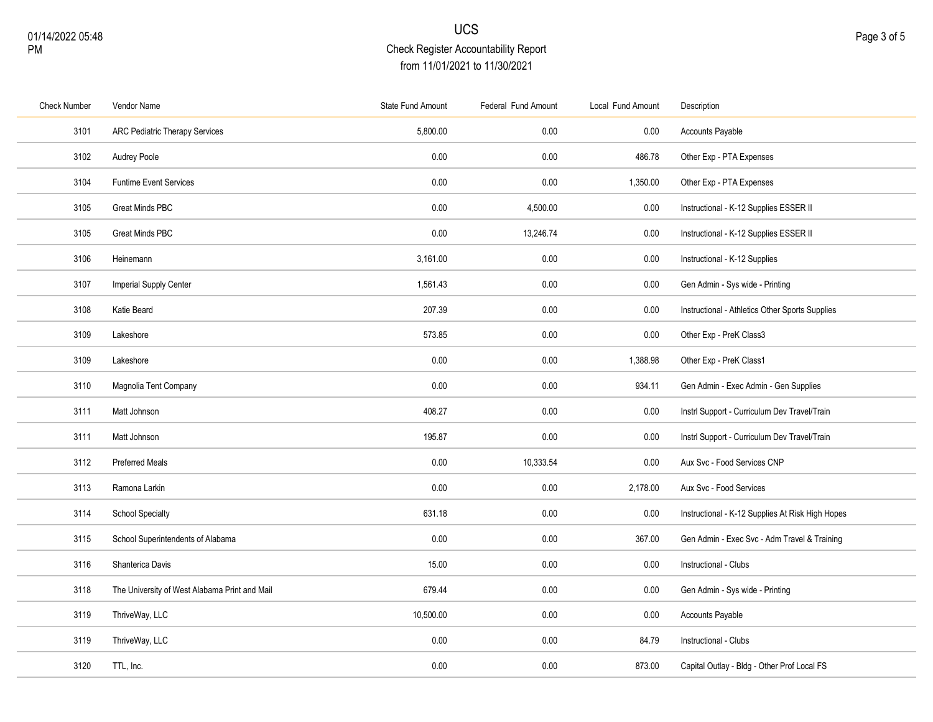| <b>Check Number</b> | Vendor Name                                   | State Fund Amount | <b>Federal Fund Amount</b> | Local Fund Amount | Description                                      |
|---------------------|-----------------------------------------------|-------------------|----------------------------|-------------------|--------------------------------------------------|
| 3101                | <b>ARC Pediatric Therapy Services</b>         | 5,800.00          | 0.00                       | 0.00              | Accounts Payable                                 |
| 3102                | Audrey Poole                                  | 0.00              | 0.00                       | 486.78            | Other Exp - PTA Expenses                         |
| 3104                | <b>Funtime Event Services</b>                 | 0.00              | 0.00                       | 1,350.00          | Other Exp - PTA Expenses                         |
| 3105                | Great Minds PBC                               | 0.00              | 4,500.00                   | 0.00              | Instructional - K-12 Supplies ESSER II           |
| 3105                | <b>Great Minds PBC</b>                        | 0.00              | 13,246.74                  | 0.00              | Instructional - K-12 Supplies ESSER II           |
| 3106                | Heinemann                                     | 3,161.00          | 0.00                       | 0.00              | Instructional - K-12 Supplies                    |
| 3107                | Imperial Supply Center                        | 1,561.43          | 0.00                       | 0.00              | Gen Admin - Sys wide - Printing                  |
| 3108                | Katie Beard                                   | 207.39            | 0.00                       | 0.00              | Instructional - Athletics Other Sports Supplies  |
| 3109                | Lakeshore                                     | 573.85            | 0.00                       | 0.00              | Other Exp - PreK Class3                          |
| 3109                | Lakeshore                                     | 0.00              | 0.00                       | 1,388.98          | Other Exp - PreK Class1                          |
| 3110                | Magnolia Tent Company                         | 0.00              | 0.00                       | 934.11            | Gen Admin - Exec Admin - Gen Supplies            |
| 3111                | Matt Johnson                                  | 408.27            | 0.00                       | 0.00              | Instrl Support - Curriculum Dev Travel/Train     |
| 3111                | Matt Johnson                                  | 195.87            | 0.00                       | 0.00              | Instrl Support - Curriculum Dev Travel/Train     |
| 3112                | <b>Preferred Meals</b>                        | 0.00              | 10,333.54                  | 0.00              | Aux Svc - Food Services CNP                      |
| 3113                | Ramona Larkin                                 | 0.00              | 0.00                       | 2,178.00          | Aux Svc - Food Services                          |
| 3114                | School Specialty                              | 631.18            | 0.00                       | 0.00              | Instructional - K-12 Supplies At Risk High Hopes |
| 3115                | School Superintendents of Alabama             | 0.00              | 0.00                       | 367.00            | Gen Admin - Exec Svc - Adm Travel & Training     |
| 3116                | Shanterica Davis                              | 15.00             | 0.00                       | 0.00              | Instructional - Clubs                            |
| 3118                | The University of West Alabama Print and Mail | 679.44            | 0.00                       | 0.00              | Gen Admin - Sys wide - Printing                  |
| 3119                | ThriveWay, LLC                                | 10,500.00         | 0.00                       | 0.00              | Accounts Payable                                 |
| 3119                | ThriveWay, LLC                                | 0.00              | 0.00                       | 84.79             | Instructional - Clubs                            |
| 3120                | TTL, Inc.                                     | 0.00              | 0.00                       | 873.00            | Capital Outlay - Bldg - Other Prof Local FS      |
|                     |                                               |                   |                            |                   |                                                  |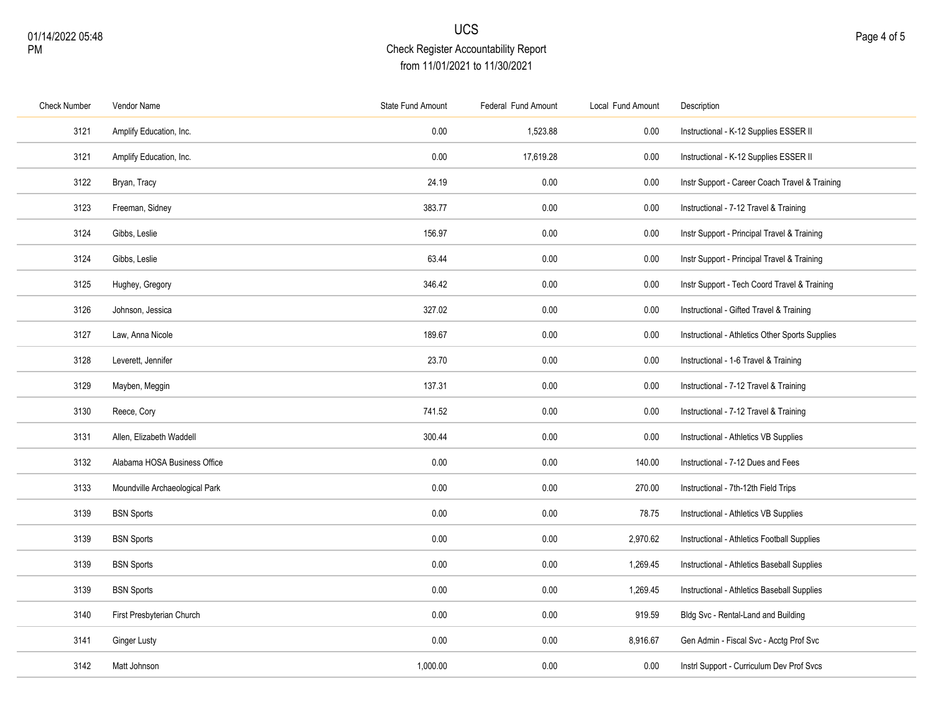| <b>Check Number</b> | Vendor Name                    | State Fund Amount | Federal Fund Amount | Local Fund Amount | Description                                     |
|---------------------|--------------------------------|-------------------|---------------------|-------------------|-------------------------------------------------|
| 3121                | Amplify Education, Inc.        | 0.00              | 1,523.88            | 0.00              | Instructional - K-12 Supplies ESSER II          |
| 3121                | Amplify Education, Inc.        | 0.00              | 17,619.28           | 0.00              | Instructional - K-12 Supplies ESSER II          |
| 3122                | Bryan, Tracy                   | 24.19             | 0.00                | 0.00              | Instr Support - Career Coach Travel & Training  |
| 3123                | Freeman, Sidney                | 383.77            | 0.00                | 0.00              | Instructional - 7-12 Travel & Training          |
| 3124                | Gibbs, Leslie                  | 156.97            | $0.00\,$            | 0.00              | Instr Support - Principal Travel & Training     |
| 3124                | Gibbs, Leslie                  | 63.44             | 0.00                | 0.00              | Instr Support - Principal Travel & Training     |
| 3125                | Hughey, Gregory                | 346.42            | 0.00                | 0.00              | Instr Support - Tech Coord Travel & Training    |
| 3126                | Johnson, Jessica               | 327.02            | 0.00                | 0.00              | Instructional - Gifted Travel & Training        |
| 3127                | Law, Anna Nicole               | 189.67            | 0.00                | 0.00              | Instructional - Athletics Other Sports Supplies |
| 3128                | Leverett, Jennifer             | 23.70             | $0.00\,$            | 0.00              | Instructional - 1-6 Travel & Training           |
| 3129                | Mayben, Meggin                 | 137.31            | 0.00                | 0.00              | Instructional - 7-12 Travel & Training          |
| 3130                | Reece, Cory                    | 741.52            | 0.00                | 0.00              | Instructional - 7-12 Travel & Training          |
| 3131                | Allen, Elizabeth Waddell       | 300.44            | 0.00                | 0.00              | Instructional - Athletics VB Supplies           |
| 3132                | Alabama HOSA Business Office   | 0.00              | 0.00                | 140.00            | Instructional - 7-12 Dues and Fees              |
| 3133                | Moundville Archaeological Park | 0.00              | 0.00                | 270.00            | Instructional - 7th-12th Field Trips            |
| 3139                | <b>BSN Sports</b>              | 0.00              | $0.00\,$            | 78.75             | Instructional - Athletics VB Supplies           |
| 3139                | <b>BSN Sports</b>              | 0.00              | 0.00                | 2,970.62          | Instructional - Athletics Football Supplies     |
| 3139                | <b>BSN Sports</b>              | 0.00              | 0.00                | 1,269.45          | Instructional - Athletics Baseball Supplies     |
| 3139                | <b>BSN Sports</b>              | 0.00              | 0.00                | 1,269.45          | Instructional - Athletics Baseball Supplies     |
| 3140                | First Presbyterian Church      | 0.00              | 0.00                | 919.59            | Bldg Svc - Rental-Land and Building             |
| 3141                | <b>Ginger Lusty</b>            | 0.00              | $0.00\,$            | 8,916.67          | Gen Admin - Fiscal Svc - Acctg Prof Svc         |
| 3142                | Matt Johnson                   | 1,000.00          | $0.00\,$            | 0.00              | Instrl Support - Curriculum Dev Prof Svcs       |
|                     |                                |                   |                     |                   |                                                 |